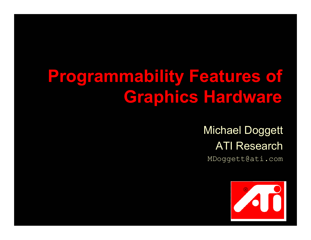## **Programmability Features of Graphics Hardware**

Michael Doggett ATI Research MDoggett@ati.com

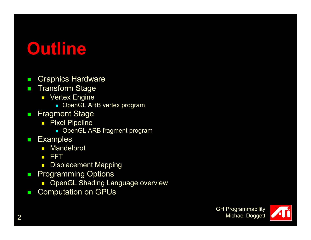### **Outline**

- $\mathcal{L}_{\mathcal{A}}$ Graphics Hardware
- $\mathcal{L}_{\mathcal{A}}$  Transform Stage
	- Vertex Engine
		- OpenGL ARB vertex program
- $\mathcal{L}_{\mathcal{A}}$  Fragment Stage
	- $\blacksquare$  Pixel Pipeline
		- **DenGL ARB fragment program**
- п **Examples** 
	- Mandelbrot
	- FFT
	- $\blacksquare$ Displacement Mapping
- $\mathbf{r}$  Programming Options
	- $\Box$ OpenGL Shading Language overview
- $\mathcal{L}_{\mathcal{A}}$ Computation on GPUs

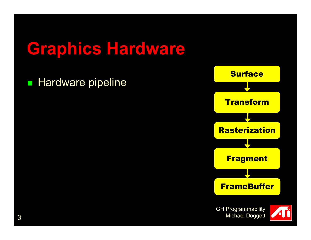**Hardware pipeline** 



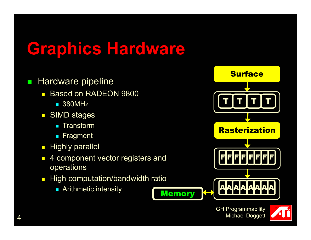- $\mathbf{r}$  Hardware pipeline
	- $\overline{\phantom{0}}$  Based on RADEON 9800
		- 380MHz
	- $\mathbf{r}$ **SIMD stages** 
		- **Exercise Transform**
		- **Fragment**
	- $\mathbb{R}^n$ Highly parallel
	- $\mathbf{r}$  4 component vector registers and operations
	- $\Box$  High computation/bandwidth ratio
		- Arithmetic intensity



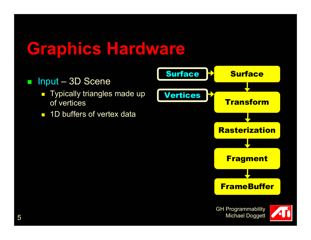#### $\mathcal{L}_{\mathcal{A}}$ Input – 3D Scene

- $\blacksquare$  Typically triangles made up of vertices
- $\overline{\phantom{a}}$ 1D buffers of vertex data



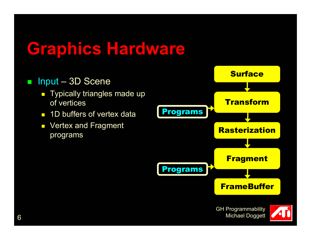#### $\mathcal{L}_{\mathcal{A}}$ Input – 3D Scene

- $\blacksquare$  Typically triangles made up of vertices
- $\overline{\phantom{0}}$ 1D buffers of vertex data
- $\overline{\phantom{a}}$  Vertex and Fragment programs





6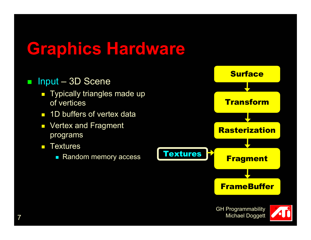#### $\mathcal{L}_{\mathcal{A}}$ Input – 3D Scene

- $\blacksquare$  Typically triangles made up of vertices
- $\blacksquare$ 1D buffers of vertex data
- $\overline{\phantom{a}}$  Vertex and Fragment programs
- $\blacksquare$ **Textures** 
	- $\overline{\phantom{a}}$ Random memory access

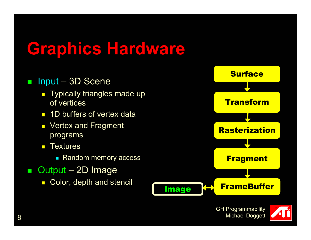#### $\mathcal{L}_{\mathcal{A}}$ Input – 3D Scene

- $\blacksquare$  Typically triangles made up of vertices
- $\blacksquare$ 1D buffers of vertex data
- $\overline{\phantom{a}}$  Vertex and Fragment programs
- $\blacksquare$ **Textures** 
	- **Random memory access**
- Output – 2D Image
	- × Color, depth and stencil



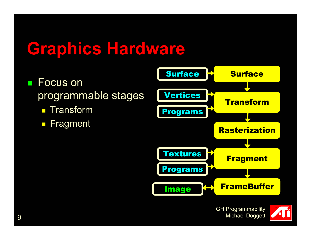- e<br>Sa Focus on programmable stages
	- $\Box$ Transform
	-



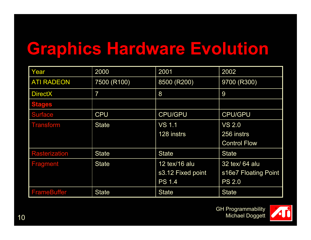## **Graphics Hardware Evolution**

| Year                 | 2000           | 2001              | 2002                 |
|----------------------|----------------|-------------------|----------------------|
| <b>ATI RADEON</b>    | 7500 (R100)    | 8500 (R200)       | 9700 (R300)          |
| <b>DirectX</b>       | $\overline{7}$ | 8                 | 9                    |
| <b>Stages</b>        |                |                   |                      |
| <b>Surface</b>       | <b>CPU</b>     | <b>CPU/GPU</b>    | <b>CPU/GPU</b>       |
| <b>Transform</b>     | <b>State</b>   | <b>VS 1.1</b>     | <b>VS 2.0</b>        |
|                      |                | 128 instrs        | 256 instrs           |
|                      |                |                   | <b>Control Flow</b>  |
| <b>Rasterization</b> | <b>State</b>   | <b>State</b>      | <b>State</b>         |
| <b>Fragment</b>      | <b>State</b>   | 12 tex/16 alu     | 32 tex/ 64 alu       |
|                      |                | s3.12 Fixed point | s16e7 Floating Point |
|                      |                | <b>PS 1.4</b>     | <b>PS 2.0</b>        |
| <b>FrameBuffer</b>   | <b>State</b>   | <b>State</b>      | <b>State</b>         |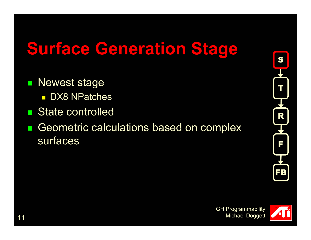### **Surface Generation Stage**

- e<br>Sa Newest stage
	- DX8 NPatches
- $\mathbb{R}^2$ State controlled
- $\mathbb{R}^2$  Geometric calculations based on complex surfaces



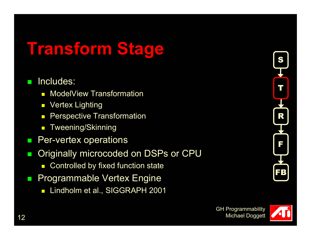# **Transform Stage**

#### Includes:

- $\blacksquare$ ModelView Transformation
- $\overline{\phantom{a}}$ Vertex Lighting
- $\overline{\phantom{0}}$ Perspective Transformation
- $\blacksquare$ Tweening/Skinning
- $\mathbf{r}$ Per-vertex operations
- $\mathcal{C}^{\mathcal{A}}$  Originally microcoded on DSPs or CPU
	- × Controlled by fixed function state
- Programmable Vertex Engine
	- $\blacksquare$ Lindholm et al., SIGGRAPH 2001

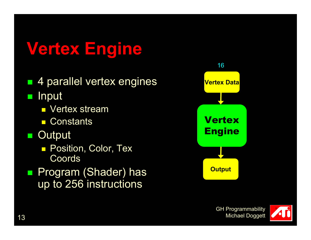# **Vertex Engine**

 4 parallel vertex engines  $\mathbb{R}^2$ **Input** 

- **L** Vertex stream
- **Constants**
- $\mathbb{R}^n$ **Output** 
	- **Position, Color, Tex** Coords
- $\mathcal{L}_{\mathcal{A}}$  Program (Shader) has up to 256 instructions



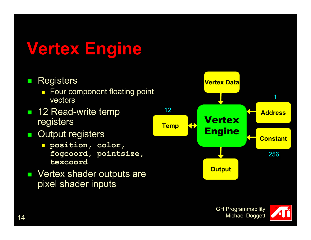# **Vertex Engine**

#### $\mathcal{L}_{\mathcal{A}}$ **Registers**

- **Four component floating point** vectors
- 12 Read-write temp registers
- $\mathcal{L}_{\mathcal{A}}$  Output registers
	- **position, color, fogcoord, pointsize, texcoord**
- **Nertex shader outputs are** pixel shader inputs

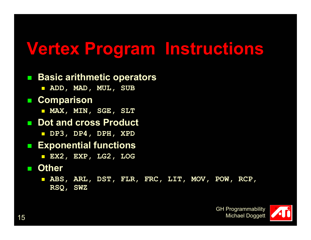#### **Vertex Program Instructions**

#### **■ Basic arithmetic operators**

**ADD, MAD, MUL, SUB**

#### **Comparison**

**MAX, MIN, SGE, SLT**

#### ■ Dot and cross Product

**DP3, DP4, DPH, XPD**

#### **Exponential functions**

**EX2, EXP, LG2, LOG**

#### **Other**

 **ABS, ARL, DST, FLR, FRC, LIT, MOV, POW, RCP, RSQ, SWZ**

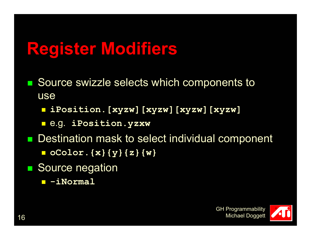## **Register Modifiers**

- e<br>Sa Source swizzle selects which components to use
	- $\overline{\phantom{a}}$ **iPosition.[xyzw][xyzw][xyzw][xyzw]**
	- $\overline{\phantom{a}}$ e.g. **iPosition.yzxw**
- Destination mask to select individual component
	- $\overline{\phantom{a}}$ **oColor.{x}{y}{z}{w}**
- e<br>Sa Source negation
	- $\overline{\phantom{a}}$ **-iNormal**

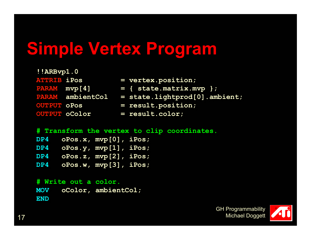### **Simple Vertex Program**

| !!ARBvp1.0         |                         |                                 |
|--------------------|-------------------------|---------------------------------|
| <b>ATTRIB iPos</b> |                         | $=$ vertex.position;            |
| PARAM mvp[4]       |                         | $=$ { state.matrix.mvp };       |
|                    | <b>PARAM</b> ambientCol | $=$ state.lightprod[0].ambient; |
| <b>OUTPUT OPOS</b> |                         | $=$ result.position;            |
|                    | <b>OUTPUT OCOlOr</b>    | $=$ result.color;               |

```
# Transform the vertex to clip coordinates.
# Transform the vertex to clip coordinates.
 DP4 oPos.x, mvp[0], iPos;
 oPos.x, mvp[0], iPos;
 DP4 oPos.y, mvp[1], iPos;
 oPos.y, mvp[1], iPos;
 DP4 oPos.z, mvp[2], iPos;
 oPos.z, mvp[2], iPos;
 DP4 oPos.w, mvp[3], iPos;
 oPos.w, mvp[3], iPos;
DP4DP4DP4DP4
```
**# Write out a color. # Write out a color. MOV oColor, ambientCol; oColor, ambientCol; ENDENDMOV**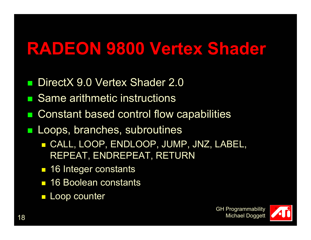### **RADEON 9800 Vertex Shader**

- e<br>Sa DirectX 9.0 Vertex Shader 2.0
- $\mathbb{R}^2$ Same arithmetic instructions
- $\mathbb{R}^2$ Constant based control flow capabilities
- $\mathcal{L}_{\mathcal{A}}$  Loops, branches, subroutines
	- CALL, LOOP, ENDLOOP, JUMP, JNZ, LABEL, REPEAT, ENDREPEAT, RETURN
	- 16 Integer constants
	- **16 Boolean constants**
	- $\overline{\mathbb{R}^n}$ Loop counter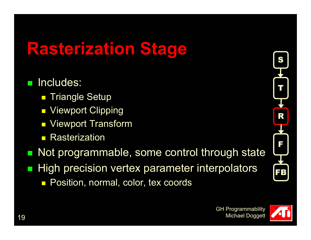## **Rasterization Stage**

#### e<br>Sa Includes:

- $\mathbb{R}^2$ Triangle Setup
- $\mathbb{R}^2$ Viewport Clipping
- $\mathbb{R}^2$ Viewport Transform
- $\mathbb{R}^2$ **Rasterization**
- $\mathbb{R}^2$  Not programmable, some control through state  $\mathbb{R}^2$  High precision vertex parameter interpolators Position, normal, color, tex coords



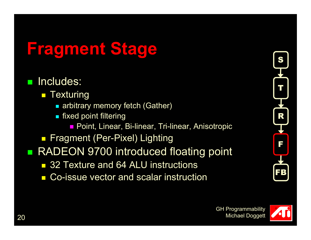## **Fragment Stage**

- Includes:
	- $\blacksquare$  Texturing
		- arbitrary memory fetch (Gather)
		- $\blacksquare$  fixed point filtering
			- Point, Linear, Bi-linear, Tri-linear, Anisotropic
	- Fragment (Per-Pixel) Lighting
- e<br>Sa RADEON 9700 introduced floating point
	- 32 Texture and 64 ALU instructions
	- Co-issue vector and scalar instruction



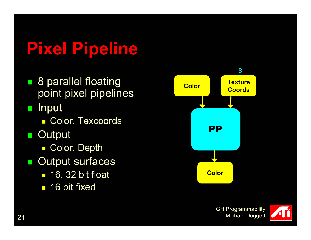# **Pixel Pipeline**

■ 8 parallel floating point pixel pipelines

 $\mathcal{L}_{\mathcal{A}}$ **Input** 

- Color, Texcoords
- e<br>Sa **Output** 
	- Color, Depth
- e<br>Sa Output surfaces
	- 16, 32 bit float
	- 16 bit fixed



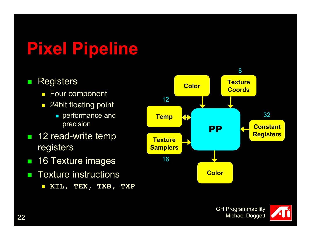# **Pixel Pipeline**

#### $\mathcal{L}_{\mathcal{A}}$ **Registers**

- $\overline{\phantom{0}}$ Four component
- 24bit floating point
	- **performance and** precision
- **12 read-write temp** registers
- **STEP** 16 Texture images
- $\mathcal{L}_{\mathcal{A}}$  Texture instructions
	- $\overline{\phantom{0}}$ **KIL, TEX, TXB, TXP**





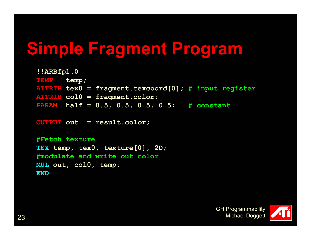## **Simple Fragment Program**

```
!!ARBfp1.0 
!!ARBfp1.0 
TEMP temp; 
TEMP temp; 
ATTRIB tex0 = fragment.texcoord[0]; # input register
ATTRIB tex0 = fragment.texcoord[0]; # input register
ATTRIB col0 = fragment.color; 
ATTRIB col0 = fragment.color; 
PARAM half = 0.5, 0.5, 0.5, 0.5; # constant
PARAM half = 0.5, 0.5, 0.5, 0.5; # constant
```

```
OUTPUT out = result.color; 
OUTPUT out = result.color;
```
**#Fetch texture #Fetch texture TEX temp, tex0, texture[0], 2D; TEX temp, tex0, texture[0], 2D; #modulate and write out color #modulate and write out color MUL out, col0, temp; MUL out, col0, temp; ENDEND**

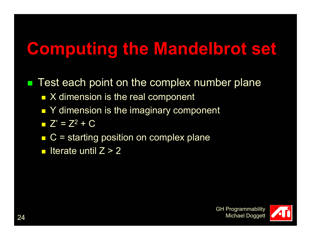## **Computing the Mandelbrot set**

e<br>Sa Test each point on the complex number plane

- X dimension is the real component
- Y dimension is the imaginary component
- $Z' = Z^2 + C$
- $\overline{\phantom{a}}$ C = starting position on complex plane

 $\blacksquare$ Iterate until  $Z > 2$ 

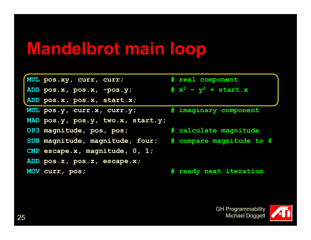| MUL pos.xy, curr, curr;                                  | # real component        |
|----------------------------------------------------------|-------------------------|
| ADD pos.x, pos.x, -pos.y;                                | # $x^2 - y^2$ + start.x |
| ADD pos.x, pos.x, start.x;                               |                         |
| MUL pos.y, curr.x, curr.y;                               | # imaginary component   |
| MAD pos.y, pos.y, two.x, start.y;                        |                         |
| DP3 magnitude, pos, pos;                                 | # calculate magnitude   |
| SUB magnitude, magnitude, four; # compare magnitude to 4 |                         |
| CMP escape.x, magnitude, $0, 1;$                         |                         |
| ADD pos.z, pos.z, escape.x;                              |                         |
| MOV curr, pos;                                           | # ready next iteration  |

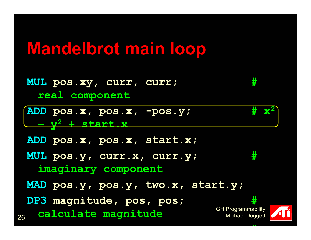- **MUL pos.xy, curr, curr; # real component**
- **ADD pos.x, pos.x, -pos.y; # x2 <sup>y</sup><sup>2</sup> + start.x**
- **ADD pos.x, pos.x, start.x;**
- **MUL pos.y, curr.x, curr.y; #** 
	- **imaginary component**
- **MAD pos.y, pos.y, two.x, start.y;**
- 26**DP3 magnitude, pos, pos; # calculate magnitude**

GH Programmability Michael Doggett

**#**

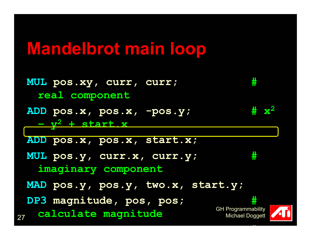27GH Programmability Michael Doggett **MUL pos.xy, curr, curr; # real component ADD pos.x, pos.x, -pos.y; # x2 <sup>y</sup><sup>2</sup> + start.x ADD pos.x, pos.x, start.x; MUL pos.y, curr.x, curr.y; # imaginary component MAD pos.y, pos.y, two.x, start.y; DP3 magnitude, pos, pos; # calculate magnitude**

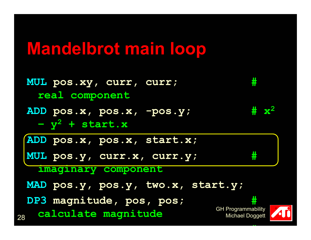| MUL pos.xy, curr, curr;<br>real component             | ⋕                                                 |
|-------------------------------------------------------|---------------------------------------------------|
| ADD pos.x, pos.x, -pos.y;<br>$-y^2$ + start.x         | $\# \mathbf{x}^2$                                 |
| ADD pos.x, pos.x, start.x;                            |                                                   |
| MUL pos.y, curr.x, curr.y;                            | #                                                 |
| imaginary component                                   |                                                   |
| MAD pos.y, pos.y, two.x, start.y;                     |                                                   |
| DP3 magnitude, pos, pos;<br>calculate magnitude<br>28 | #<br>GH Programmability<br><b>Michael Doggett</b> |



 $\overline{P}$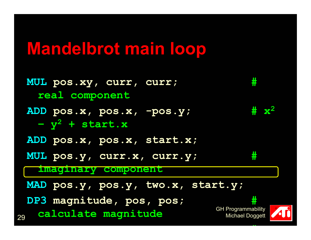29GH Programmability Michael Doggett **MUL pos.xy, curr, curr; # real component ADD pos.x, pos.x, -pos.y; # x2 <sup>y</sup><sup>2</sup> + start.x ADD pos.x, pos.x, start.x; MUL pos.y, curr.x, curr.y; # imaginary component MAD pos.y, pos.y, two.x, start.y; DP3 magnitude, pos, pos; # calculate magnitude**



**#**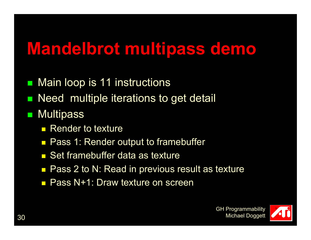#### **Mandelbrot multipass demo**

- $\mathcal{L}_{\mathcal{A}}$ Main loop is 11 instructions
- $\mathcal{L}_{\mathcal{A}}$ Need multiple iterations to get detail
- $\mathcal{L}_{\mathcal{A}}$ **Multipass** 
	- **Render to texture**
	- $\overline{\phantom{0}}$ Pass 1: Render output to framebuffer
	- Set framebuffer data as texture
	- $\Box$ Pass 2 to N: Read in previous result as texture
	- Pass N+1: Draw texture on screen

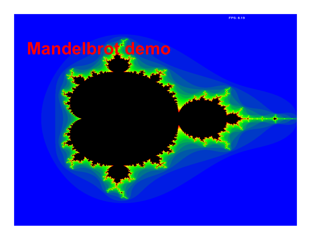# **Mandelbrot demo**

**K**<br>1988 Re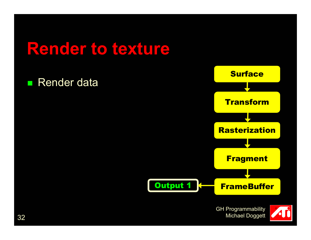#### e<br>Sa Render data



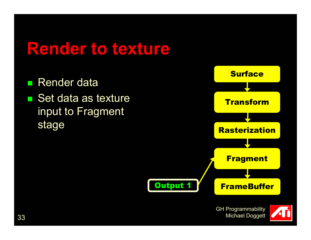e<br>Sa Render data ■ Set data as texture input to Fragment



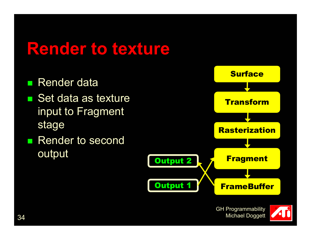- Render data
- Set data as texture input to Fragment stage
- Render to second output



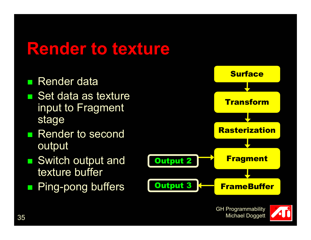- Render data
- Set data as texture input to Fragment stage
- $\mathbb{R}^2$  Render to second output
- Switch output and texture buffer
- e<br>Sa Ping-pong buffers



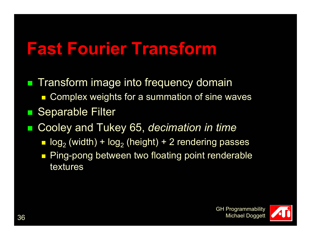### **Fast Fourier Transform**

- **Transform image into frequency domain** ■ Complex weights for a summation of sine waves  $\mathbb{R}^2$ Separable Filter
- $\mathbb{R}^2$  Cooley and Tukey 65, *decimation in time*
	- $\blacksquare$  log $_2$  (width) + log $_2$  (height) + 2 rendering passes
	- Ping-pong between two floating point renderable textures

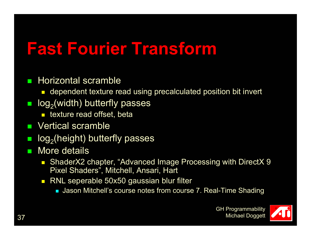## **Fast Fourier Transform**

#### $\mathcal{L}_{\mathcal{A}}$ Horizontal scramble

- dependent texture read using precalculated position bit invert
- $\mathcal{L}_{\mathcal{A}}$  $log<sub>2</sub>(width)$  butterfly passes
	- **E** texture read offset, beta
- $\mathbf{r}$ Vertical scramble
- $\mathcal{L}_{\mathcal{A}}$ log<sub>2</sub>(height) butterfly passes
- **STEP**  More details
	- ShaderX2 chapter, "Advanced Image Processing with DirectX 9 Pixel Shaders", Mitchell, Ansari, Hart
	- RNL seperable 50x50 gaussian blur filter
		- Jason Mitchell's course notes from course 7. Real-Time Shading

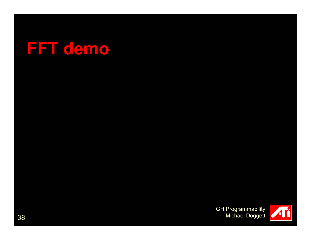

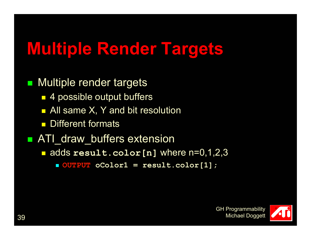## **Multiple Render Targets**

#### e<br>Sa Multiple render targets

- 4 possible output buffers
- All same X, Y and bit resolution
- $\overline{\phantom{0}}$ Different formats

#### **ATI\_draw\_buffers extension**

 $\blacksquare$ adds **result.color[n]** where n=0,1,2,3

F. **OUTPUT oColor1 = result.color[1];**

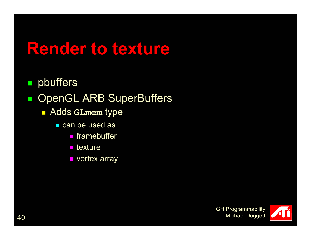e<br>Sa pbuffers

#### $\mathbb{R}^2$ OpenGL ARB SuperBuffers

- Adds **GLmem** type
	- can be used as
		- framebuffer
		- $\blacksquare$  texture
		- **vertex array**

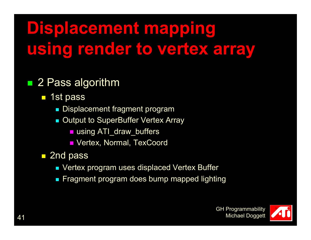# **Displacement mapping using render to vertex array**

#### ■ 2 Pass algorithm

- 1st pass
	- **Displacement fragment program**
	- $\mathcal{L}_{\mathcal{A}}$  Output to SuperBuffer Vertex Array
		- using ATI\_draw\_buffers
		- Vertex, Normal, TexCoord
- 2nd pass
	- Vertex program uses displaced Vertex Buffer
	- F. Fragment program does bump mapped lighting

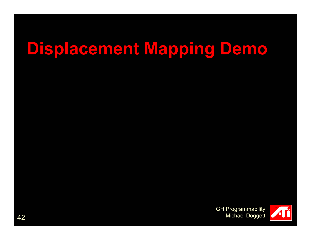## **Displacement Mapping Demo**

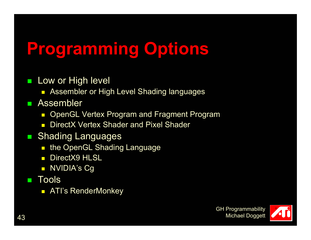# **Programming Options**

- $\mathcal{L}_{\mathcal{A}}$  Low or High level
	- $\overline{\phantom{a}}$ Assembler or High Level Shading languages
- **COL**  Assembler
	- $\overline{\phantom{0}}$ OpenGL Vertex Program and Fragment Program
	- $\blacksquare$ DirectX Vertex Shader and Pixel Shader
- **B** Shading Languages
	- the OpenGL Shading Language
	- DirectX9 HLSL
	- $\overline{\phantom{a}}$ NVIDIA's Cg
- **COL Tools** 
	- $\Box$ ATI's RenderMonkey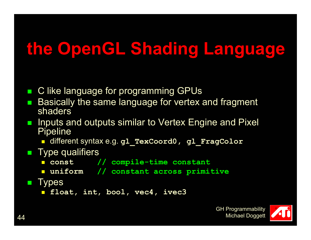# **the OpenGL Shading Language**

- $\mathcal{L}_{\mathcal{A}}$ C like language for programming GPUs
- $\mathbb{R}^2$  Basically the same language for vertex and fragment shaders
- $\mathbb{R}^2$  Inputs and outputs similar to Vertex Engine and Pixel **Pipeline** 
	- different syntax e.g. **gl\_TexCoord0, gl\_FragColor**
- **Type qualifiers** 
	- $\mathcal{L}_{\mathcal{A}}$ **const // compile-time constant**
	- **uniform // constant across primitive**
- $\mathcal{L}_{\mathcal{A}}$ **Types** 
	- **float, int, bool, vec4, ivec3**

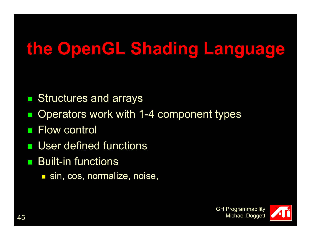# **the OpenGL Shading Language**

- $\mathbb{R}^2$ Structures and arrays
- $\mathbb{R}^2$ Operators work with 1-4 component types
- e<br>Sa Flow control
- User defined functions
- Built-in functions
	- sin, cos, normalize, noise,

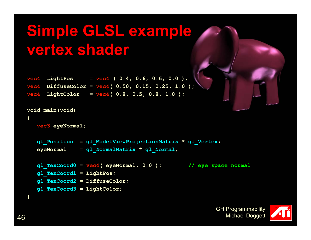#### **Simple GLSL example vertex shader**

**vec4 LightPos = vec4 ( 0.4, 0.6, 0.6, 0.0 ); vec4 DiffuseColor = vec4( 0.50, 0.15, 0.25, 1.0 ); vec4 LightColor = vec4( 0.8, 0.5, 0.8, 1.0 );** 

```
void main(void)
```

```
{
```

```
vec3 eyeNormal;
```
**gl\_Position = gl\_ModelViewProjectionMatrix \* gl\_Vertex; eyeNormal = gl\_NormalMatrix \* gl\_Normal;**

```
gl_TexCoord0 = vec4( eyeNormal, 0.0 ); // eye space normal
gl_TexCoord1 = LightPos;
gl_TexCoord2 = DiffuseColor; 
gl_TexCoord3 = LightColor;
```


**}**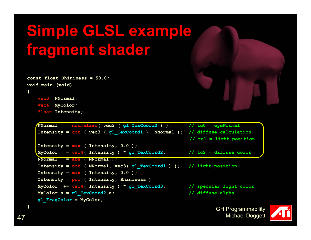```
const float Shininess = 50.0;
void main (void)
{
```

```
vec3 NNormal;
vec4 MyColor;
```
**float Intensity;**

```
NNormal = normalize( vec3 ( gl_TexCoord0 ) ); // tc0 = eyeNormal
Intensity = dot ( vec3 ( gl_TexCoord1 ), NNormal ); // diffuse calculation 
                                                 // tc1 = light position
Intensity = max ( Intensity, 0.0 );
MyColor = vec4( Intensity ) * gl_TexCoord2; // tc2 = diffuse color
NNormal = abs ( NNormal );
Intensity = dot ( NNormal, vec3( gl_TexCoord1 ) ); // light position
Intensity = max ( Intensity, 0.0 );
Intensity = pow ( Intensity, Shininess );
MyColor += vec4( Intensity ) * gl_TexCoord3; // specular light color
MyColor.a = gl_TexCoord2.a; // diffuse alpha
gl_FragColor = MyColor;
```


**}**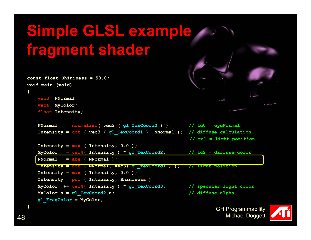```
const float Shininess = 50.0;
void main (void)
{
   vec3 NNormal;
   vec4 MyColor;
   float Intensity;
   NNormal = normalize( vec3 ( gl_TexCoord0 ) ); // tc0 = eyeNormal
   Intensity = dot ( vec3 ( gl_TexCoord1 ), NNormal ); // diffuse calculation 
                                                     // tc1 = light position
   Intensity = max ( Intensity, 0.0 );
   MyColor = vec4( Intensity) * gl TexCoord2; // tc2 = diffuse color
   NNormal = abs ( NNormal );
   Intensity = dot ( NNormal, vec3( gl_TexCoord1 ) ); // light position
   Intensity = max ( Intensity, 0.0 );
   Intensity = pow ( Intensity, Shininess );
   MyColor += vec4( Intensity ) * gl_TexCoord3; // specular light color
   MyColor.a = gl_TexCoord2.a; // diffuse alpha
```

```
GH Programmability 
   Michael Doggett
```


**}**

**gl\_FragColor = MyColor;**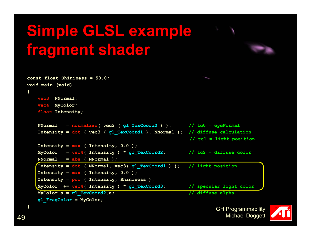

```
const float Shininess = 50.0;
void main (void)
   vec3 NNormal;
   vec4 MyColor;
    float Intensity;
   NNormal = normalize( vec3 ( gl_TexCoord0 ) ); // tc0 = eyeNormal
   Intensity = dot ( vec3 ( gl_TexCoord1 ), NNormal ); // diffuse calculation 
                                                     // tc1 = light position
   Intensity = max ( Intensity, 0.0 );
   MyColor = vec4( Intensity ) * gl_TexCoord2; // tc2 = diffuse color
   NNormal = abs ( NNormal );
   Intensity = dot ( NNormal, vec3( gl_TexCoord1 ) ); // light position
   Intensity = max ( Intensity, 0.0 );
   Intensity = pow ( Intensity, Shininess );
   MyColor += vec4( Intensity ) * gl_TexCoord3; // specular light color
   MyColor.a = gl_TexCoord2.a; // diffuse alpha
   gl_FragColor = MyColor;
```


**}**

**{**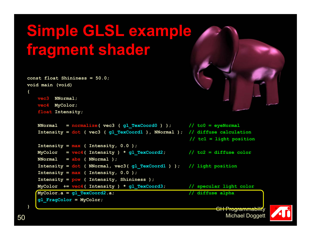```
const float Shininess = 50.0;
void main (void)
{
```

```
vec3 NNormal;
vec4 MyColor;
```






**}**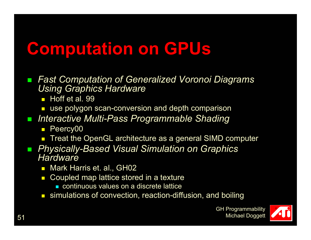### **Computation on GPUs**

- $\mathcal{L}_{\mathcal{A}}$  *Fast Computation of Generalized Voronoi Diagrams Using Graphics Hardware*
	- Hoff et al. 99
	- use polygon scan-conversion and depth comparison
- $\mathcal{L}_{\mathcal{A}}$  *Interactive Multi-Pass Programmable Shading*
	- $\overline{\phantom{0}}$ Peercy00
	- $\textcolor{red}{\blacksquare}$  Treat the OpenGL architecture as a general SIMD computer
- $\mathcal{L}_{\mathcal{A}}$  *Physically-Based Visual Simulation on Graphics Hardware*
	- $\blacksquare$ Mark Harris et. al., GH02
	- $\Box$  Coupled map lattice stored in a texture
		- continuous values on a discrete lattice
	- **E** simulations of convection, reaction-diffusion, and boiling

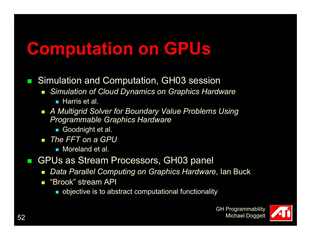### **Computation on GPUs**

- $\mathcal{L}_{\mathcal{A}}$  Simulation and Computation, GH03 session
	- $\overline{\phantom{0}}$  *Simulation of Cloud Dynamics on Graphics Hardware*
		- Harris et al.
	- *A Multigrid Solver for Boundary Value Problems Using Programmable Graphics Hardware*
		- Goodnight et al.
	- *The FFT on a GPU*
		- Moreland et al.
- $\mathbf{r}$  GPUs as Stream Processors, GH03 panel
	- $\overline{\phantom{a}}$ *Data Parallel Computing on Graphics Hardware*, Ian Buck
	- $\blacksquare$  "Brook" stream API
		- **objective is to abstract computational functionality**

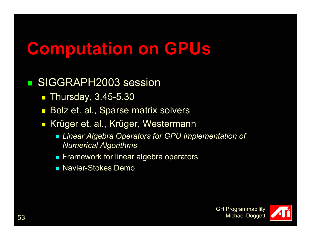### **Computation on GPUs**

#### e<br>Sa SIGGRAPH2003 session

- Thursday, 3.45-5.30
- $\overline{\phantom{a}}$ Bolz et. al., Sparse matrix solvers
- $\overline{\phantom{0}}$  Krüger et. al., Krüger, Westermann
	- *Linear Algebra Operators for GPU Implementation of Numerical Algorithms*
	- $\mathcal{L}_{\mathcal{A}}$ Framework for linear algebra operators
	- Navier-Stokes Demo

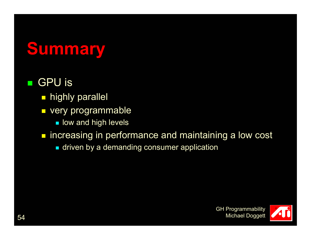## **Summary**

#### e<br>Sa GPU is

- $\textcolor{red}{\blacksquare}$  highly parallel
- $\Box$  very programmable
	- $\blacksquare$  low and high levels
- **n** increasing in performance and maintaining a low cost
	- $\textcolor{red}{\bullet}$  driven by a demanding consumer application